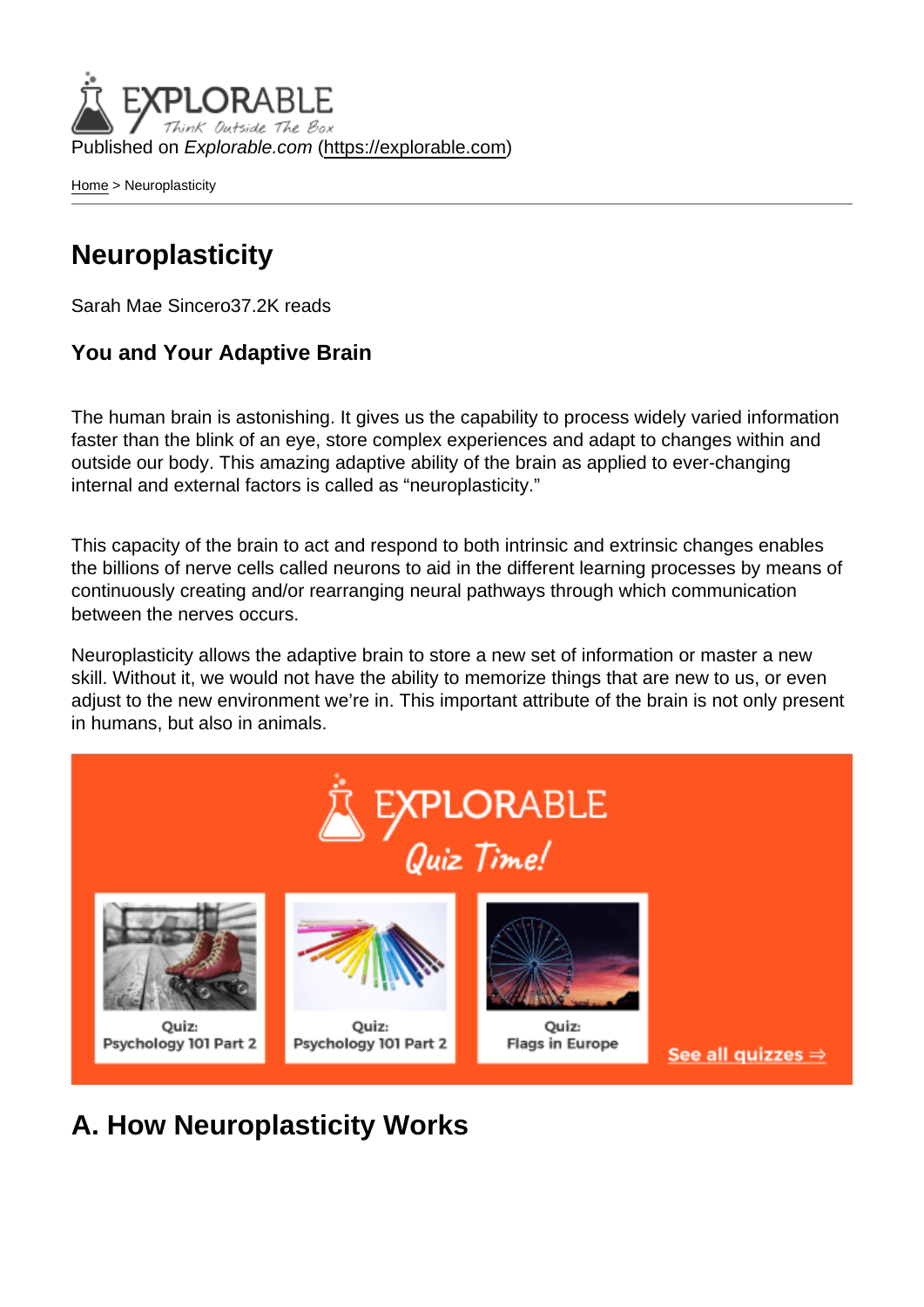Published on Explorable.com (<https://explorable.com>)

[Home](https://explorable.com/) > Neuroplasticity

## **Neuroplasticity**

Sarah Mae Sincero37.2K reads

You and Your Adaptive Brain

The human brain is astonishing. It gives us the capability to process widely varied information faster than the blink of an eye, store complex experiences and adapt to changes within and outside our body. This amazing adaptive ability of the brain as applied to ever-changing internal and external factors is called as "neuroplasticity."

This capacity of the brain to act and respond to both intrinsic and extrinsic changes enables the billions of nerve cells called neurons to aid in the different learning processes by means of continuously creating and/or rearranging neural pathways through which communication between the nerves occurs.

Neuroplasticity allows the adaptive brain to store a new set of information or master a new skill. Without it, we would not have the ability to memorize things that are new to us, or even adjust to the new environment we're in. This important attribute of the brain is not only present in humans, but also in animals.

A. How Neuroplasticity Works